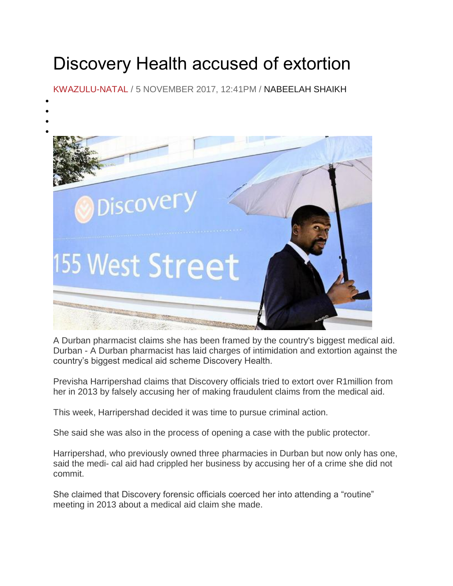## Discovery Health accused of extortion

[KWAZULU-NATAL](https://www.iol.co.za/news/south-africa/kwazulu-natal) / 5 NOVEMBER 2017, 12:41PM / NABEELAH SHAIKH

 $\bullet$  $\bullet$ 



A Durban pharmacist claims she has been framed by the country's biggest medical aid. Durban - A Durban pharmacist has laid charges of intimidation and extortion against the country's biggest medical aid scheme Discovery Health.

Previsha Harripershad claims that Discovery officials tried to extort over R1million from her in 2013 by falsely accusing her of making fraudulent claims from the medical aid.

This week, Harripershad decided it was time to pursue criminal action.

She said she was also in the process of opening a case with the public protector.

Harripershad, who previously owned three pharmacies in Durban but now only has one, said the medi- cal aid had crippled her business by accusing her of a crime she did not commit.

She claimed that Discovery forensic officials coerced her into attending a "routine" meeting in 2013 about a medical aid claim she made.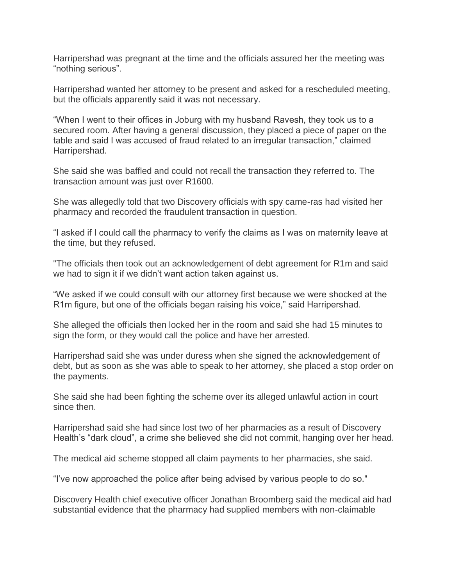Harripershad was pregnant at the time and the officials assured her the meeting was "nothing serious".

Harripershad wanted her attorney to be present and asked for a rescheduled meeting, but the officials apparently said it was not necessary.

"When I went to their offices in Joburg with my husband Ravesh, they took us to a secured room. After having a general discussion, they placed a piece of paper on the table and said I was accused of fraud related to an irregular transaction," claimed Harripershad.

She said she was baffled and could not recall the transaction they referred to. The transaction amount was just over R1600.

She was allegedly told that two Discovery officials with spy came-ras had visited her pharmacy and recorded the fraudulent transaction in question.

"I asked if I could call the pharmacy to verify the claims as I was on maternity leave at the time, but they refused.

"The officials then took out an acknowledgement of debt agreement for R1m and said we had to sign it if we didn't want action taken against us.

"We asked if we could consult with our attorney first because we were shocked at the R1m figure, but one of the officials began raising his voice," said Harripershad.

She alleged the officials then locked her in the room and said she had 15 minutes to sign the form, or they would call the police and have her arrested.

Harripershad said she was under duress when she signed the acknowledgement of debt, but as soon as she was able to speak to her attorney, she placed a stop order on the payments.

She said she had been fighting the scheme over its alleged unlawful action in court since then.

Harripershad said she had since lost two of her pharmacies as a result of Discovery Health's "dark cloud", a crime she believed she did not commit, hanging over her head.

The medical aid scheme stopped all claim payments to her pharmacies, she said.

"I've now approached the police after being advised by various people to do so."

Discovery Health chief executive officer Jonathan Broomberg said the medical aid had substantial evidence that the pharmacy had supplied members with non-claimable